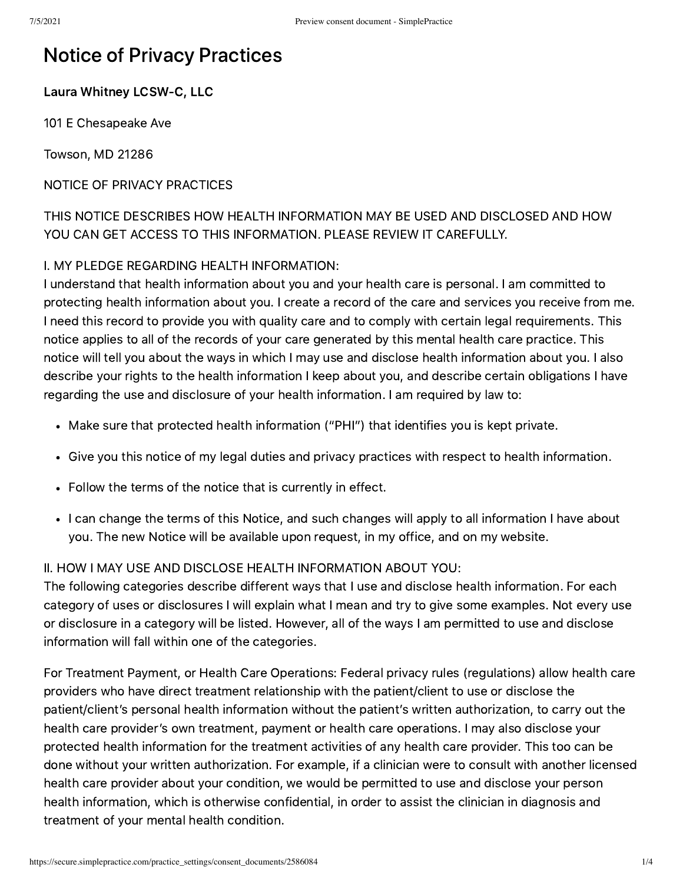# Notice of Privacy Practices

#### Laura Whitney LCSW-C, LLC

101 E Chesapeake Ave

Towson, MD 21286

NOTICE OF PRIVACY PRACTICES

THIS NOTICE DESCRIBES HOW HEALTH INFORMATION MAY BE USED AND DISCLOSED AND HOW YOU CAN GET ACCESS TO THIS INFORMATION. PLEASE REVIEW IT CAREFULLY.

#### I. MY PLEDGE REGARDING HEALTH INFORMATION:

I understand that health information about you and your health care is personal. I am committed to protecting health information about you. I create a record of the care and services you receive from me. I need this record to provide you with quality care and to comply with certain legal requirements. This notice applies to all of the records of your care generated by this mental health care practice. This notice will tell you about the ways in which I may use and disclose health information about you. I also describe your rights to the health information I keep about you, and describe certain obligations I have regarding the use and disclosure of your health information. I am required by law to:

- Make sure that protected health information ("PHI") that identifies you is kept private.
- Give you this notice of my legal duties and privacy practices with respect to health information.
- Follow the terms of the notice that is currently in effect.
- I can change the terms of this Notice, and such changes will apply to all information I have about you. The new Notice will be available upon request, in my office, and on my website.

#### II. HOW I MAY USE AND DISCLOSE HEALTH INFORMATION ABOUT YOU:

The following categories describe different ways that I use and disclose health information. For each category of uses or disclosures I will explain what I mean and try to give some examples. Not every use or disclosure in a category will be listed. However, all of the ways I am permitted to use and disclose information will fall within one of the categories.

For Treatment Payment, or Health Care Operations: Federal privacy rules (regulations) allow health care providers who have direct treatment relationship with the patient/client to use or disclose the patient/client's personal health information without the patient's written authorization, to carry out the health care provider's own treatment, payment or health care operations. I may also disclose your protected health information for the treatment activities of any health care provider. This too can be done without your written authorization. For example, if a clinician were to consult with another licensed health care provider about your condition, we would be permitted to use and disclose your person health information, which is otherwise confidential, in order to assist the clinician in diagnosis and treatment of your mental health condition.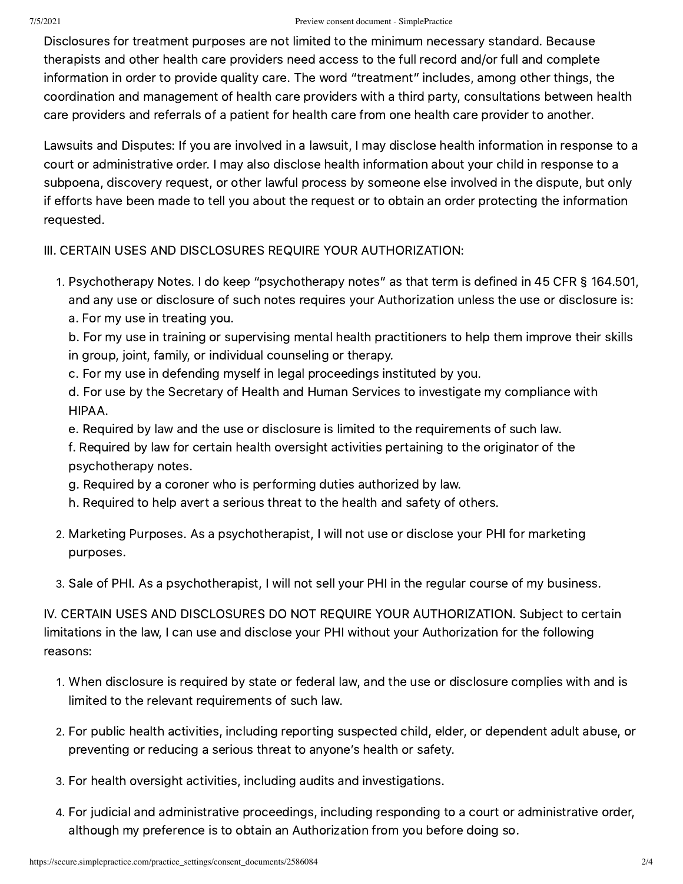#### 7/5/2021 Preview consent document - SimplePractice

Disclosures for treatment purposes are not limited to the minimum necessary standard. Because therapists and other health care providers need access to the full record and/or full and complete information in order to provide quality care. The word "treatment" includes, among other things, the coordination and management of health care providers with a third party, consultations between health care providers and referrals of a patient for health care from one health care provider to another.

Lawsuits and Disputes: If you are involved in a lawsuit, I may disclose health information in response to a court or administrative order. I may also disclose health information about your child in response to a subpoena, discovery request, or other lawful process by someone else involved in the dispute, but only if efforts have been made to tell you about the request or to obtain an order protecting the information requested.

### III. CERTAIN USES AND DISCLOSURES REQUIRE YOUR AUTHORIZATION:

. Psychotherapy Notes. I do keep "psychotherapy notes" as that term is defined in 45 CFR § 164.501, and any use or disclosure of such notes requires your Authorization unless the use or disclosure is: a. For my use in treating you.

b. For my use in training or supervising mental health practitioners to help them improve their skills in group, joint, family, or individual counseling or therapy.

c. For my use in defending myself in legal proceedings instituted by you.

d. For use by the Secretary of Health and Human Services to investigate my compliance with HIPAA.

e. Required by law and the use or disclosure is limited to the requirements of such law.

f. Required by law for certain health oversight activities pertaining to the originator of the psychotherapy notes.

- g. Required by a coroner who is performing duties authorized by law.
- h. Required to help avert a serious threat to the health and safety of others.
- . Marketing Purposes. As a psychotherapist, I will not use or disclose your PHI for marketing purposes.
- . Sale of PHI. As a psychotherapist, I will not sell your PHI in the regular course of my business.

IV. CERTAIN USES AND DISCLOSURES DO NOT REQUIRE YOUR AUTHORIZATION. Subject to certain limitations in the law, I can use and disclose your PHI without your Authorization for the following reasons:

- . When disclosure is required by state or federal law, and the use or disclosure complies with and is limited to the relevant requirements of such law.
- . For public health activities, including reporting suspected child, elder, or dependent adult abuse, or preventing or reducing a serious threat to anyone's health or safety.
- . For health oversight activities, including audits and investigations.
- . For judicial and administrative proceedings, including responding to a court or administrative order, although my preference is to obtain an Authorization from you before doing so.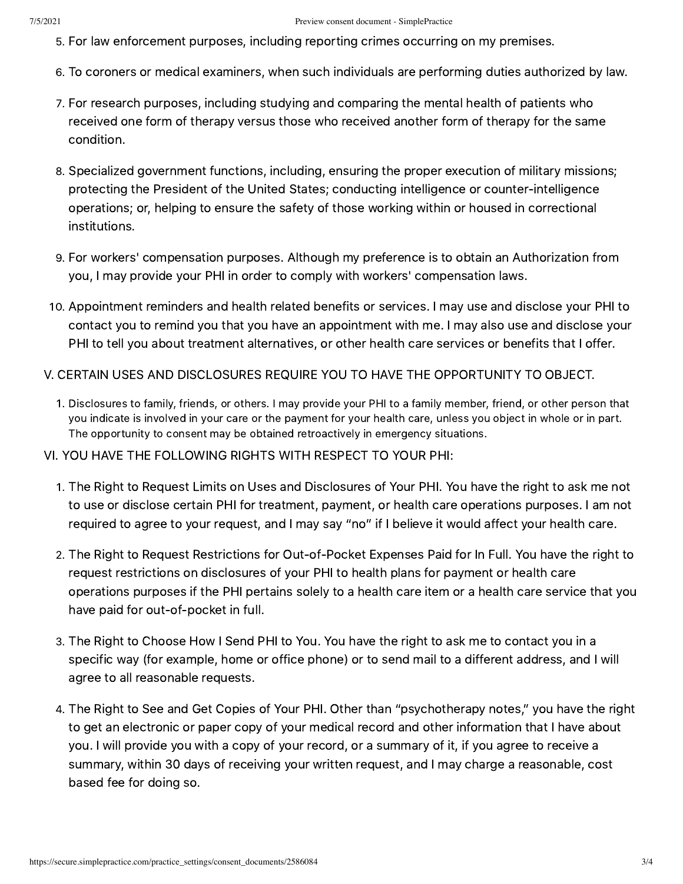- . For law enforcement purposes, including reporting crimes occurring on my premises.
- . To coroners or medical examiners, when such individuals are performing duties authorized by law.
- . For research purposes, including studying and comparing the mental health of patients who received one form of therapy versus those who received another form of therapy for the same condition.
- . Specialized government functions, including, ensuring the proper execution of military missions; protecting the President of the United States; conducting intelligence or counter-intelligence operations; or, helping to ensure the safety of those working within or housed in correctional institutions.
- . For workers' compensation purposes. Although my preference is to obtain an Authorization from you, I may provide your PHI in order to comply with workers' compensation laws.
- . Appointment reminders and health related benefits or services. I may use and disclose your PHI to contact you to remind you that you have an appointment with me. I may also use and disclose your PHI to tell you about treatment alternatives, or other health care services or benefits that I offer.
- V. CERTAIN USES AND DISCLOSURES REQUIRE YOU TO HAVE THE OPPORTUNITY TO OBJECT.
	- . Disclosures to family, friends, or others. I may provide your PHI to a family member, friend, or other person that you indicate is involved in your care or the payment for your health care, unless you object in whole or in part. The opportunity to consent may be obtained retroactively in emergency situations.
- VI. YOU HAVE THE FOLLOWING RIGHTS WITH RESPECT TO YOUR PHI:
	- . The Right to Request Limits on Uses and Disclosures of Your PHI. You have the right to ask me not to use or disclose certain PHI for treatment, payment, or health care operations purposes. I am not required to agree to your request, and I may say "no" if I believe it would affect your health care.
	- . The Right to Request Restrictions for Out-of-Pocket Expenses Paid for In Full. You have the right to request restrictions on disclosures of your PHI to health plans for payment or health care operations purposes if the PHI pertains solely to a health care item or a health care service that you have paid for out-of-pocket in full.
	- . The Right to Choose How I Send PHI to You. You have the right to ask me to contact you in a specific way (for example, home or office phone) or to send mail to a different address, and I will agree to all reasonable requests.
	- . The Right to See and Get Copies of Your PHI. Other than "psychotherapy notes," you have the right to get an electronic or paper copy of your medical record and other information that I have about you. I will provide you with a copy of your record, or a summary of it, if you agree to receive a summary, within 30 days of receiving your written request, and I may charge a reasonable, cost based fee for doing so.